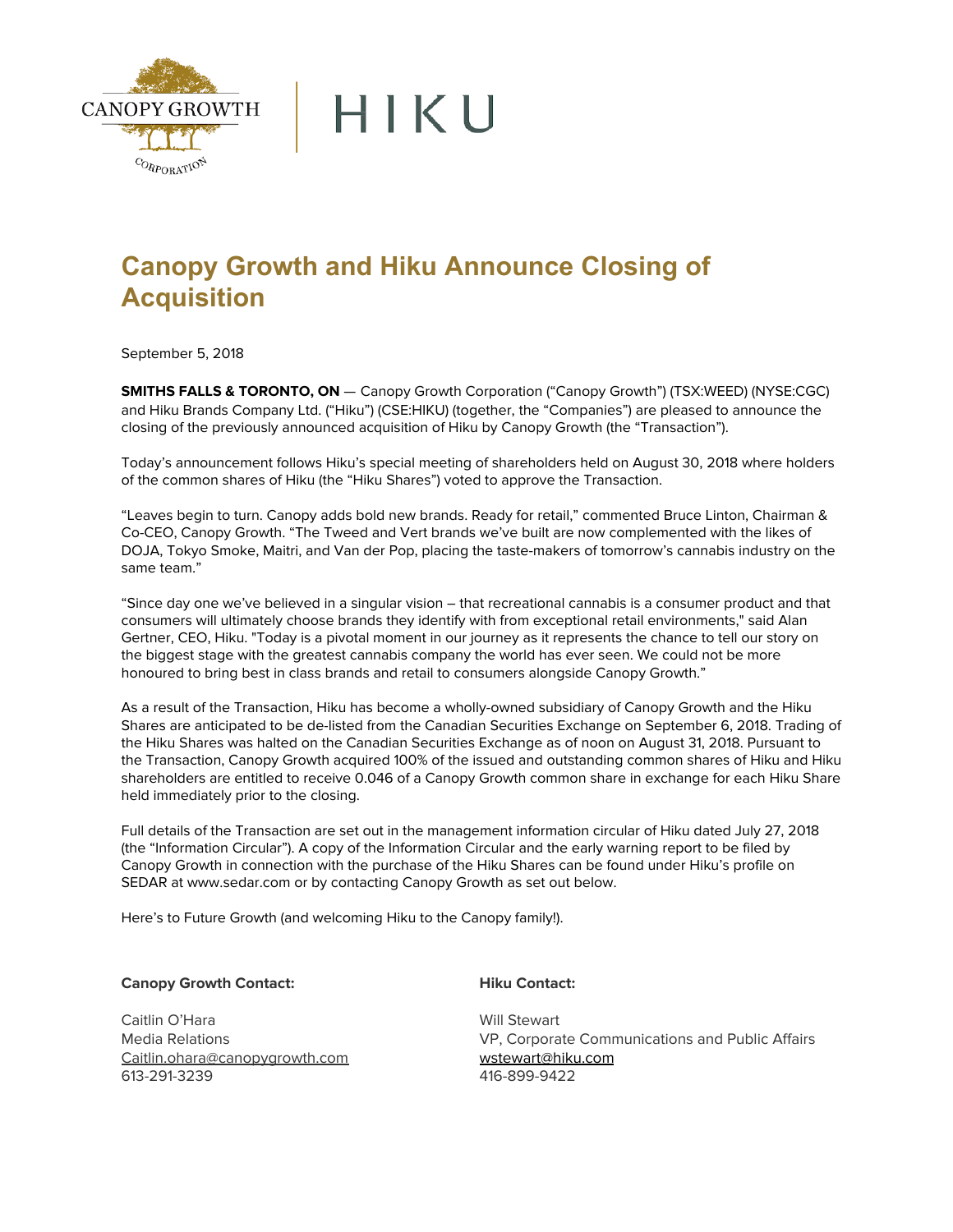

## **Canopy Growth and Hiku Announce Closing of Acquisition**

September 5, 2018

**SMITHS FALLS & TORONTO, ON** — Canopy Growth Corporation ("Canopy Growth") (TSX:WEED) (NYSE:CGC) and Hiku Brands Company Ltd. ("Hiku") (CSE:HIKU) (together, the "Companies") are pleased to announce the closing of the previously announced acquisition of Hiku by Canopy Growth (the "Transaction").

Today's announcement follows Hiku's special meeting of shareholders held on August 30, 2018 where holders of the common shares of Hiku (the "Hiku Shares") voted to approve the Transaction.

"Leaves begin to turn. Canopy adds bold new brands. Ready for retail," commented Bruce Linton, Chairman & Co-CEO, Canopy Growth. "The Tweed and Vert brands we've built are now complemented with the likes of DOJA, Tokyo Smoke, Maitri, and Van der Pop, placing the taste-makers of tomorrow's cannabis industry on the same team."

"Since day one we've believed in a singular vision – that recreational cannabis is a consumer product and that consumers will ultimately choose brands they identify with from exceptional retail environments," said Alan Gertner, CEO, Hiku. "Today is a pivotal moment in our journey as it represents the chance to tell our story on the biggest stage with the greatest cannabis company the world has ever seen. We could not be more honoured to bring best in class brands and retail to consumers alongside Canopy Growth."

As a result of the Transaction, Hiku has become a wholly-owned subsidiary of Canopy Growth and the Hiku Shares are anticipated to be de-listed from the Canadian Securities Exchange on September 6, 2018. Trading of the Hiku Shares was halted on the Canadian Securities Exchange as of noon on August 31, 2018. Pursuant to the Transaction, Canopy Growth acquired 100% of the issued and outstanding common shares of Hiku and Hiku shareholders are entitled to receive 0.046 of a Canopy Growth common share in exchange for each Hiku Share held immediately prior to the closing.

Full details of the Transaction are set out in the management information circular of Hiku dated July 27, 2018 (the "Information Circular"). A copy of the Information Circular and the early warning report to be filed by Canopy Growth in connection with the purchase of the Hiku Shares can be found under Hiku's profile on SEDAR at www.sedar.com or by contacting Canopy Growth as set out below.

Here's to Future Growth (and welcoming Hiku to the Canopy family!).

**Canopy Growth Contact:** 

Caitlin O'Hara Media Relations Caitlin.ohara@canopygrowth.com 613-291-3239

**Hiku Contact:** 

Will Stewart VP, Corporate Communications and Public Affairs [wstewart@hiku.com](mailto:wstewart@hiku.com) 416-899-9422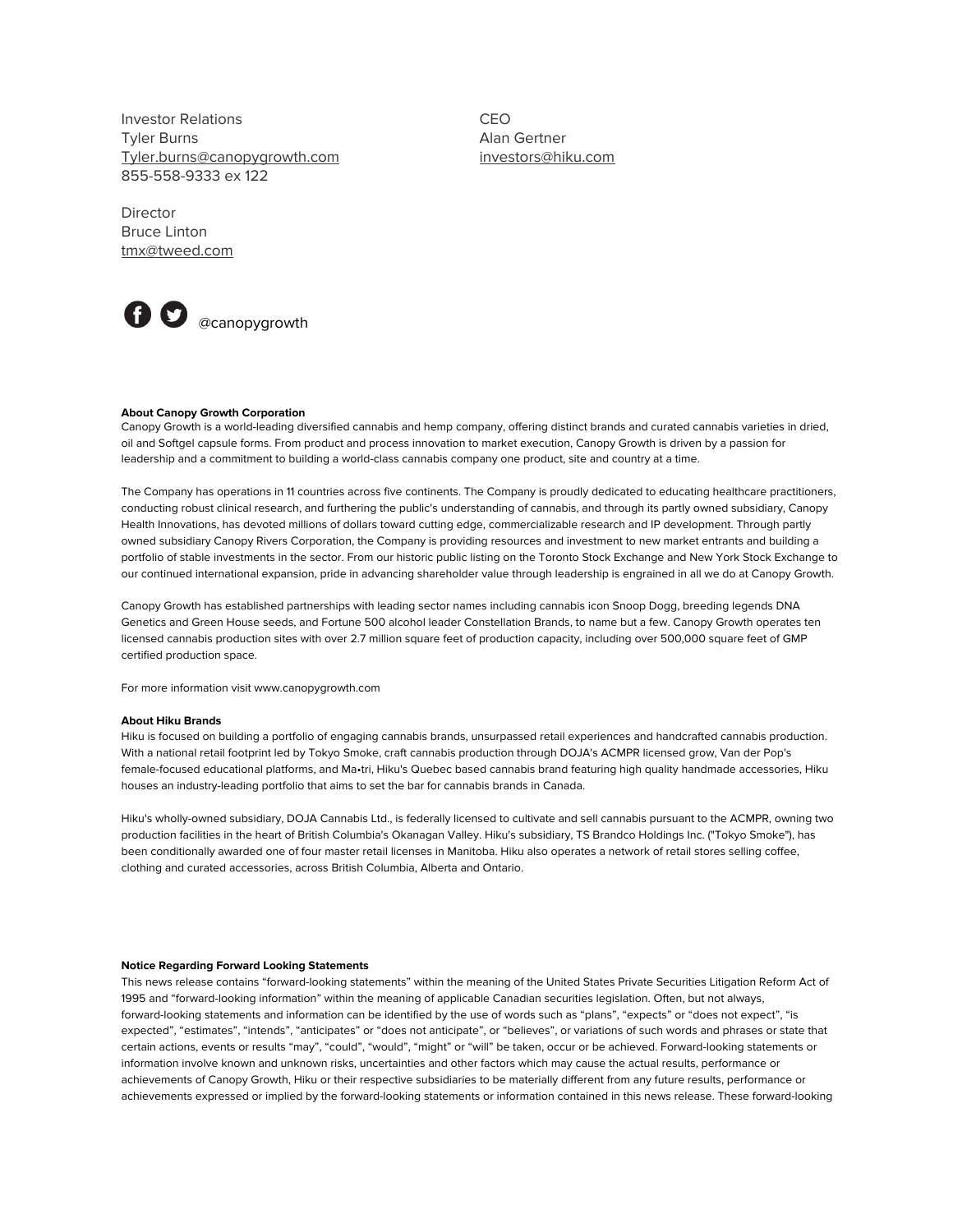Investor Relations Tyler Burns Tyler.burns@canopygrowth.com 855-558-9333 ex 122

CEO Alan Gertner investors@hiku.com

Director Bruce Linton tmx@tweed.com



## **About Canopy Growth Corporation**

Canopy Growth is a world-leading diversified cannabis and hemp company, offering distinct brands and curated cannabis varieties in dried, oil and Softgel capsule forms. From product and process innovation to market execution, Canopy Growth is driven by a passion for leadership and a commitment to building a world-class cannabis company one product, site and country at a time.

The Company has operations in 11 countries across five continents. The Company is proudly dedicated to educating healthcare practitioners, conducting robust clinical research, and furthering the public's understanding of cannabis, and through its partly owned subsidiary, Canopy Health Innovations, has devoted millions of dollars toward cutting edge, commercializable research and IP development. Through partly owned subsidiary Canopy Rivers Corporation, the Company is providing resources and investment to new market entrants and building a portfolio of stable investments in the sector. From our historic public listing on the Toronto Stock Exchange and New York Stock Exchange to our continued international expansion, pride in advancing shareholder value through leadership is engrained in all we do at Canopy Growth.

Canopy Growth has established partnerships with leading sector names including cannabis icon Snoop Dogg, breeding legends DNA Genetics and Green House seeds, and Fortune 500 alcohol leader Constellation Brands, to name but a few. Canopy Growth operates ten licensed cannabis production sites with over 2.7 million square feet of production capacity, including over 500,000 square feet of GMP certified production space.

For more information visit www.canopygrowth.com

## **About Hiku Brands**

Hiku is focused on building a portfolio of engaging cannabis brands, unsurpassed retail experiences and handcrafted cannabis production. With a national retail footprint led by Tokyo Smoke, craft cannabis production through DOJA's ACMPR licensed grow, Van der Pop's female-focused educational platforms, and Ma•tri, Hiku's Quebec based cannabis brand featuring high quality handmade accessories, Hiku houses an industry-leading portfolio that aims to set the bar for cannabis brands in Canada.

Hiku's wholly-owned subsidiary, DOJA Cannabis Ltd., is federally licensed to cultivate and sell cannabis pursuant to the ACMPR, owning two production facilities in the heart of British Columbia's Okanagan Valley. Hiku's subsidiary, TS Brandco Holdings Inc. ("Tokyo Smoke"), has been conditionally awarded one of four master retail licenses in Manitoba. Hiku also operates a network of retail stores selling coffee, clothing and curated accessories, across British Columbia, Alberta and Ontario.

## **Notice Regarding Forward Looking Statements**

This news release contains "forward-looking statements" within the meaning of the United States Private Securities Litigation Reform Act of 1995 and "forward-looking information" within the meaning of applicable Canadian securities legislation. Often, but not always, forward-looking statements and information can be identified by the use of words such as "plans", "expects" or "does not expect", "is expected", "estimates", "intends", "anticipates" or "does not anticipate", or "believes", or variations of such words and phrases or state that certain actions, events or results "may", "could", "would", "might" or "will" be taken, occur or be achieved. Forward-looking statements or information involve known and unknown risks, uncertainties and other factors which may cause the actual results, performance or achievements of Canopy Growth, Hiku or their respective subsidiaries to be materially different from any future results, performance or achievements expressed or implied by the forward-looking statements or information contained in this news release. These forward-looking